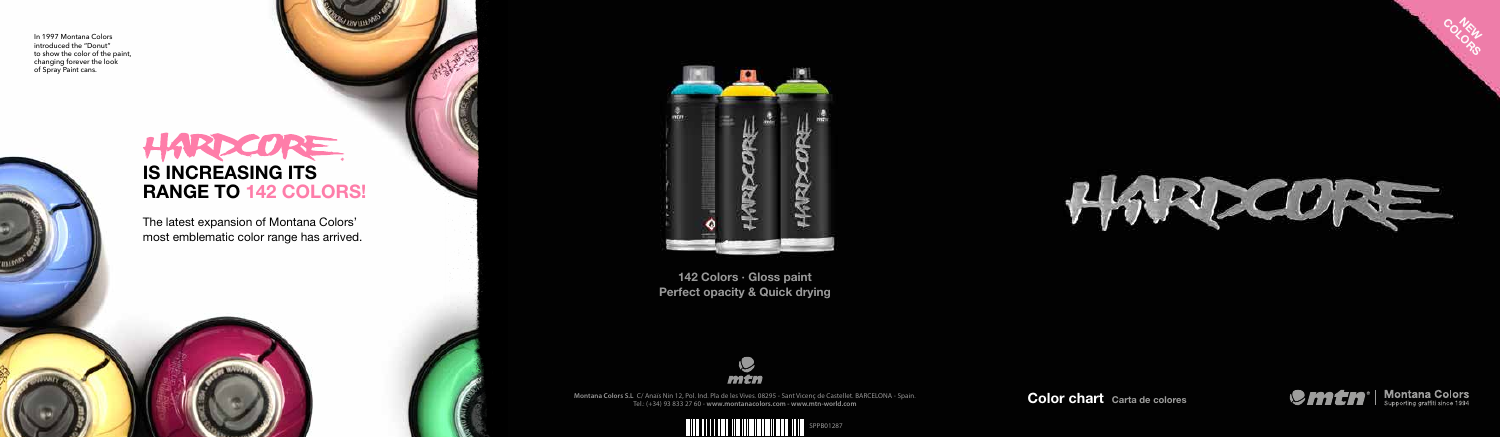**Montana Colors S.L** C/ Anaïs Nin 12, Pol. Ind. Pla de les Vives. 08295 - Sant Vicenç de Castellet. BARCELONA - Spain. Tel.: (+34) 93 833 27 60 - **www.montanacolors.com - www.mtn-world.com**





Color chart Carta de colores





Co.NEW

142 Colors · Gloss paint Perfect opacity & Quick drying



## IS INCREASING ITS RANGE TO 142 COLORS!

The latest expansion of Montana Colors' most emblematic color range has arrived.



In 1997 Montana Colors introduced the "Donut" to show the color of the paint, changing forever the look of Spray Paint cans.